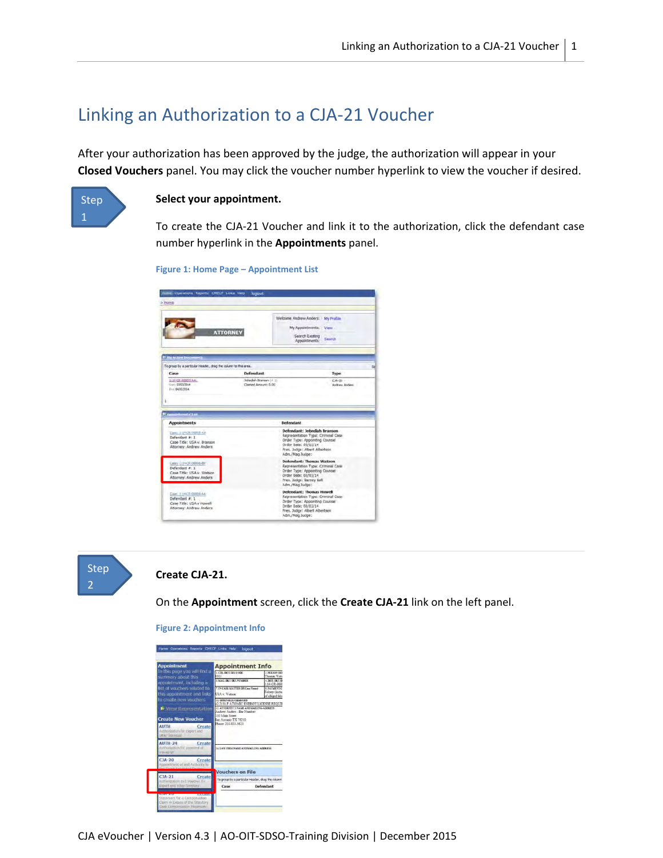# Linking an Authorization to a CJA‐21 Voucher

After your authorization has been approved by the judge, the authorization will appear in your **Closed Vouchers** panel. You may click the voucher number hyperlink to view the voucher if desired.



### **Select your appointment.**

To create the CJA‐21 Voucher and link it to the authorization, click the defendant case number hyperlink in the **Appointments** panel.

```
Figure 1: Home Page – Appointment List
```

|                                                                                                       |                                             | Welcome Archew Anders: My Profile                                                                                                                                               |                                  |  |
|-------------------------------------------------------------------------------------------------------|---------------------------------------------|---------------------------------------------------------------------------------------------------------------------------------------------------------------------------------|----------------------------------|--|
|                                                                                                       |                                             | My Appointments: View                                                                                                                                                           |                                  |  |
| <b>ATTORNEY</b>                                                                                       |                                             | Search Existing<br>Search.<br>Appointments:                                                                                                                                     |                                  |  |
| <b>El The Active Documents</b>                                                                        |                                             |                                                                                                                                                                                 |                                  |  |
| To group by a particular Header, drag the oplumn to this area.                                        |                                             |                                                                                                                                                                                 |                                  |  |
| Case                                                                                                  | Defendant                                   |                                                                                                                                                                                 | Type                             |  |
| 114-01-00825-8A-<br>tions 03/23/2014<br>E-II 64/33/3054                                               | Jebeden Branson (#1)<br>Clemed Amount: 0.05 |                                                                                                                                                                                 | <b>CM-2D -</b><br>Andrew Anders: |  |
|                                                                                                       |                                             |                                                                                                                                                                                 |                                  |  |
| <b>COLOR</b><br><b>Appointments</b>                                                                   |                                             | Defendant                                                                                                                                                                       |                                  |  |
| 2<br>Care: 213-CL/20015-AV<br>Defendant #: 1<br>Case Title: USA v. Branson<br>Attorney: Andrew Anders |                                             | Defendant: Jebediah Branson<br>Representation Type: Criminal Case<br>Order Type: Appointing Counsel<br>Order Data: 03/03/14<br>Fres. Judge: Albert Albertson<br>Adm./Mag.ludge: |                                  |  |
| Calery Edit OF ORDER ABV<br>Defendant #: 1<br>Case Title: USA v. Watson<br>Attorney: Andrew Anders    |                                             | Defendant: Thomas Watson<br>Representation Type: Criminal Case<br>Order Type: Appointing Counsel<br>Order Date: 03/03/14<br>Pres. Judge: Barney Ball<br>Hdm./Mag Judge:         |                                  |  |



### **Create CJA‐21.**

On the **Appointment** screen, click the **Create CJA‐21** link on the left panel.

| <b>Appointment</b>                                                                                                                                                                                                                                                                                             | <b>Appointment Info</b>                                                                                                                                                                                                                                                                                                   |                                                                                                                        |  |
|----------------------------------------------------------------------------------------------------------------------------------------------------------------------------------------------------------------------------------------------------------------------------------------------------------------|---------------------------------------------------------------------------------------------------------------------------------------------------------------------------------------------------------------------------------------------------------------------------------------------------------------------------|------------------------------------------------------------------------------------------------------------------------|--|
| In this page you will find a<br>summary about this<br>appointment, including a<br>list of vouchers related to<br>this appointment and links<br>to create new vouchers<br><b>M</b> View Representation<br><b>Create New Voucher</b><br><b>AUTH</b><br>Create<br>Authorization for Export and<br>atties Services | 1. CIR. DIST. DIV.CODE<br>0101<br>3 MAG DICT/DET NUMBER<br>7. IN CASE/MATTER OF/Case Name)<br>USA v. Watson<br>11. OFFENSEIS) CHARGED<br>42-2131 F ATOMIC ENERGY LICENSE REOUT<br>12. ATTORNEY'S NAME AND MAILING APPRESS<br>Andrew Anders - Rar Number<br>110 Main Street<br>San Antonio TX 78210<br>Phone: 210-833-5623 | 2 PERSON REE<br>Thomas Wats<br>A DOST DICT/DE<br>144.09.08<br><b>R PAVAITNT C</b><br>Felony (inclus<br>of alleged felo |  |
| <b>AUTH-24</b><br>Create<br>Authorization for payment all<br>ranscript<br>$CJA-20$<br>Create<br>Appointment of and Authority to                                                                                                                                                                                | 14. LAW FIRM NAME AND MAILING ADDRESS                                                                                                                                                                                                                                                                                     |                                                                                                                        |  |
|                                                                                                                                                                                                                                                                                                                | <b>Vouchers on File</b>                                                                                                                                                                                                                                                                                                   |                                                                                                                        |  |
| $CJA-21$<br>Create<br>Authorization and Voucher for                                                                                                                                                                                                                                                            | To group by a particular Header, drag the column                                                                                                                                                                                                                                                                          |                                                                                                                        |  |
| Expert and other Services                                                                                                                                                                                                                                                                                      | Case                                                                                                                                                                                                                                                                                                                      | Defendant                                                                                                              |  |

**Figure 2: Appointment Info**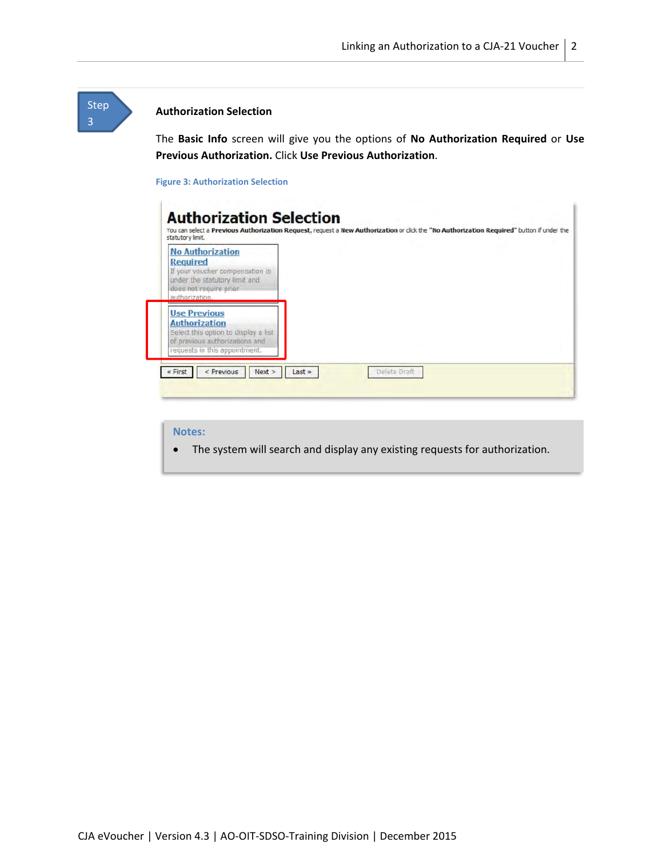## **Authorization Selection**

Step 3

> The **Basic Info** screen will give you the options of **No Authorization Required** or **Use Previous Authorization.** Click **Use Previous Authorization**.

### **Figure 3: Authorization Selection**

| <b>No Authorization</b><br><b>Required</b><br>If your voucher compensation is<br>under the statutory limit and<br>does not require prior<br>authorization. |  |
|------------------------------------------------------------------------------------------------------------------------------------------------------------|--|
| <b>Use Previous</b><br><b>Authorization</b><br>Select this option to display a list<br>of previous authorizations and<br>requests in this appointment.     |  |

### **Notes:**

The system will search and display any existing requests for authorization.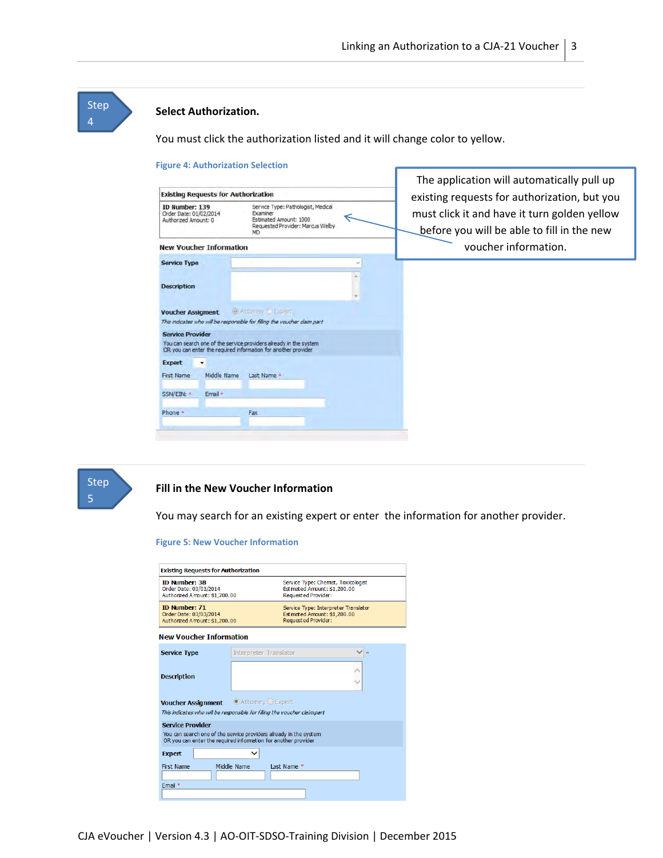## **Step** 4

### **Select Authorization.**

You must click the authorization listed and it will change color to yellow.

#### **Figure 4: Authorization Selection** The application will automatically pull up **Existing Requests for Authorization** existing requests for authorization, but you ID Number: 139 Service Type: Pathologist, Medical Order Date: 01/02/2014<br>Authorized Amount: 0 Examiner<br>Estimated Amount: 1000<br>Requested Provider: Marcus Weby<br>MD must click it and have it turn golden yellow € before you will be able to fill in the new voucher information. **New Voucher Information Service Type** ÷ × **Description** Voucher Assigment @ Attorney Expert This indicates who will be responsible for filling the voucher claim part **Service Provider** You can search one of the service providers already in the system<br>OR you can enter the required information for another provider Expert v First Name Middle Name Last Name + SSN/EIN: \* Email \* Phone \* Fax



### **Fill in the New Voucher Information**

You may search for an existing expert or enter the information for another provider.

#### **Figure 5: New Voucher Information**

| <b>Existing Requests for Authorization</b>                                                                                                                     |                                   |                            |                                                                      |  |
|----------------------------------------------------------------------------------------------------------------------------------------------------------------|-----------------------------------|----------------------------|----------------------------------------------------------------------|--|
| <b>ID Number: 38</b><br>Order Date: 03/03/2014<br>Authorized Arrount: \$1,200.00                                                                               |                                   | <b>Requested Provider:</b> | Service Type: Chemist, Toxicologist<br>Estimated Amount: \$1,200.00  |  |
| <b>ID Number: 71</b><br>Order Date: 03/03/2014<br>Authorized Amount: \$1,200.00                                                                                |                                   | <b>Requested Provider:</b> | Service Type: Interpreter Translator<br>Estimated Amount: \$1,200.00 |  |
| New Voucher Information                                                                                                                                        |                                   |                            |                                                                      |  |
| <b>Interpreter Translator</b><br><b>Service Type</b>                                                                                                           |                                   |                            |                                                                      |  |
| <b>Description</b>                                                                                                                                             |                                   |                            |                                                                      |  |
| <b>Voucher Assignment</b><br>This indicates who will be responsible for filling the voucher claimpart                                                          | $\odot$ Attomey $\bigcirc$ Expert |                            |                                                                      |  |
| <b>Service Provider</b><br>You can search one of the service providers already in the system<br>OR you can enter the required information for another provider |                                   |                            |                                                                      |  |
| <b>Expert</b>                                                                                                                                                  |                                   |                            |                                                                      |  |
| <b>First Name</b><br>Email *                                                                                                                                   | Middle Name                       | Last Name *                |                                                                      |  |
|                                                                                                                                                                |                                   |                            |                                                                      |  |